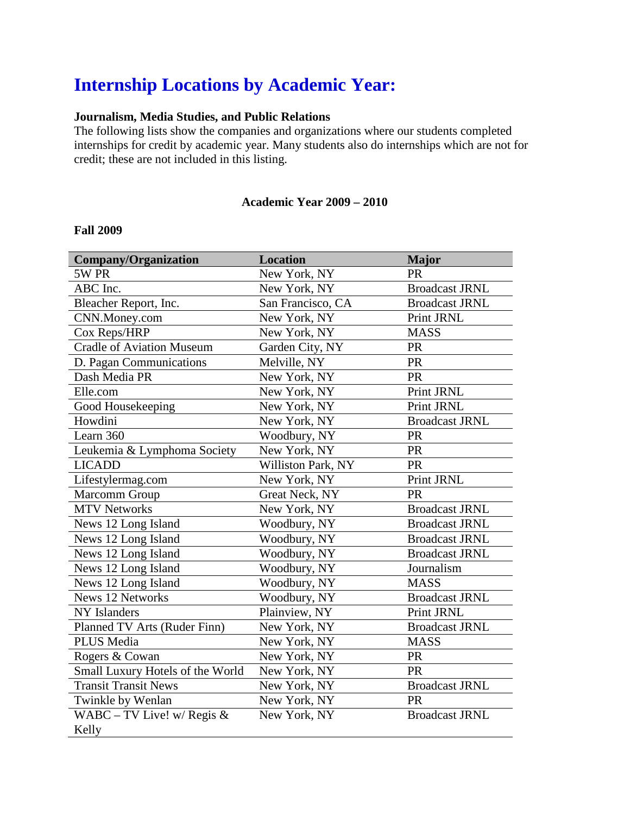# **Internship Locations by Academic Year:**

## **Journalism, Media Studies, and Public Relations**

The following lists show the companies and organizations where our students completed internships for credit by academic year. Many students also do internships which are not for credit; these are not included in this listing.

#### **Academic Year 2009 – 2010**

#### **Fall 2009**

| <b>Company/Organization</b>      | <b>Location</b>    | <b>Major</b>          |
|----------------------------------|--------------------|-----------------------|
| 5W PR                            | New York, NY       | <b>PR</b>             |
| ABC Inc.                         | New York, NY       | <b>Broadcast JRNL</b> |
| Bleacher Report, Inc.            | San Francisco, CA  | <b>Broadcast JRNL</b> |
| CNN.Money.com                    | New York, NY       | Print JRNL            |
| Cox Reps/HRP                     | New York, NY       | <b>MASS</b>           |
| <b>Cradle of Aviation Museum</b> | Garden City, NY    | PR                    |
| D. Pagan Communications          | Melville, NY       | <b>PR</b>             |
| Dash Media PR                    | New York, NY       | PR                    |
| Elle.com                         | New York, NY       | Print JRNL            |
| Good Housekeeping                | New York, NY       | Print JRNL            |
| Howdini                          | New York, NY       | <b>Broadcast JRNL</b> |
| Learn 360                        | Woodbury, NY       | <b>PR</b>             |
| Leukemia & Lymphoma Society      | New York, NY       | PR                    |
| <b>LICADD</b>                    | Williston Park, NY | <b>PR</b>             |
| Lifestylermag.com                | New York, NY       | Print JRNL            |
| Marcomm Group                    | Great Neck, NY     | PR                    |
| <b>MTV Networks</b>              | New York, NY       | <b>Broadcast JRNL</b> |
| News 12 Long Island              | Woodbury, NY       | <b>Broadcast JRNL</b> |
| News 12 Long Island              | Woodbury, NY       | <b>Broadcast JRNL</b> |
| News 12 Long Island              | Woodbury, NY       | <b>Broadcast JRNL</b> |
| News 12 Long Island              | Woodbury, NY       | Journalism            |
| News 12 Long Island              | Woodbury, NY       | <b>MASS</b>           |
| <b>News 12 Networks</b>          | Woodbury, NY       | <b>Broadcast JRNL</b> |
| <b>NY</b> Islanders              | Plainview, NY      | Print JRNL            |
| Planned TV Arts (Ruder Finn)     | New York, NY       | <b>Broadcast JRNL</b> |
| <b>PLUS Media</b>                | New York, NY       | <b>MASS</b>           |
| Rogers & Cowan                   | New York, NY       | <b>PR</b>             |
| Small Luxury Hotels of the World | New York, NY       | <b>PR</b>             |
| <b>Transit Transit News</b>      | New York, NY       | <b>Broadcast JRNL</b> |
| Twinkle by Wenlan                | New York, NY       | <b>PR</b>             |
| WABC – TV Live! w/ Regis $&$     | New York, NY       | <b>Broadcast JRNL</b> |
| Kelly                            |                    |                       |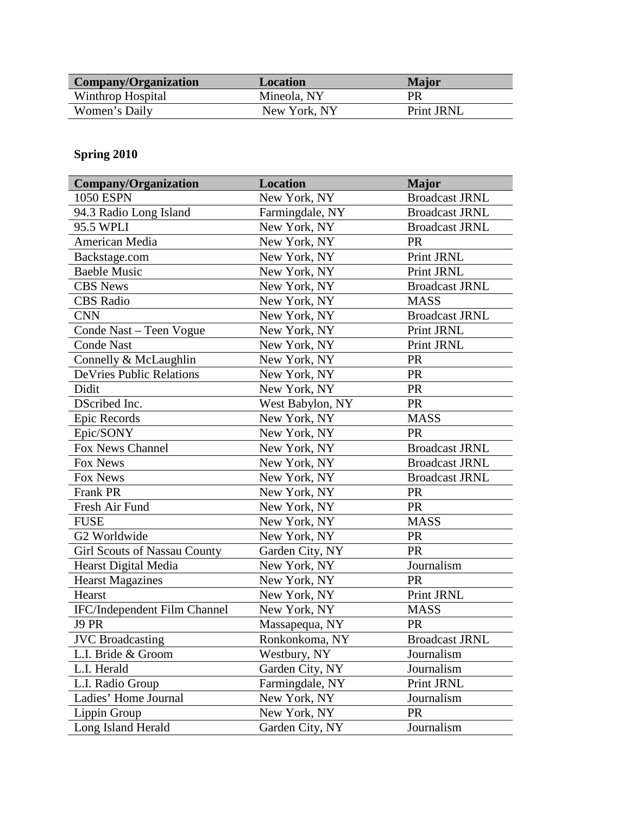| Company/Organization | Location     | Major      |
|----------------------|--------------|------------|
| Winthrop Hospital    | Mineola, NY  | PR         |
| Women's Daily        | New York, NY | Print JRNL |

## **Spring 2010**

| <b>Company/Organization</b>         | <b>Location</b>  | <b>Major</b>          |
|-------------------------------------|------------------|-----------------------|
| <b>1050 ESPN</b>                    | New York, NY     | <b>Broadcast JRNL</b> |
| 94.3 Radio Long Island              | Farmingdale, NY  | <b>Broadcast JRNL</b> |
| 95.5 WPLI                           | New York, NY     | <b>Broadcast JRNL</b> |
| American Media                      | New York, NY     | <b>PR</b>             |
| Backstage.com                       | New York, NY     | Print JRNL            |
| <b>Baeble Music</b>                 | New York, NY     | Print JRNL            |
| <b>CBS</b> News                     | New York, NY     | <b>Broadcast JRNL</b> |
| <b>CBS</b> Radio                    | New York, NY     | <b>MASS</b>           |
| <b>CNN</b>                          | New York, NY     | <b>Broadcast JRNL</b> |
| Conde Nast - Teen Vogue             | New York, NY     | Print JRNL            |
| <b>Conde Nast</b>                   | New York, NY     | Print JRNL            |
| Connelly & McLaughlin               | New York, NY     | <b>PR</b>             |
| <b>DeVries Public Relations</b>     | New York, NY     | PR                    |
| Didit                               | New York, NY     | <b>PR</b>             |
| DScribed Inc.                       | West Babylon, NY | <b>PR</b>             |
| Epic Records                        | New York, NY     | <b>MASS</b>           |
| Epic/SONY                           | New York, NY     | <b>PR</b>             |
| Fox News Channel                    | New York, NY     | <b>Broadcast JRNL</b> |
| Fox News                            | New York, NY     | <b>Broadcast JRNL</b> |
| Fox News                            | New York, NY     | <b>Broadcast JRNL</b> |
| <b>Frank PR</b>                     | New York, NY     | <b>PR</b>             |
| Fresh Air Fund                      | New York, NY     | <b>PR</b>             |
| <b>FUSE</b>                         | New York, NY     | <b>MASS</b>           |
| G2 Worldwide                        | New York, NY     | <b>PR</b>             |
| <b>Girl Scouts of Nassau County</b> | Garden City, NY  | <b>PR</b>             |
| Hearst Digital Media                | New York, NY     | Journalism            |
| <b>Hearst Magazines</b>             | New York, NY     | PR                    |
| Hearst                              | New York, NY     | Print JRNL            |
| IFC/Independent Film Channel        | New York, NY     | <b>MASS</b>           |
| J9 PR                               | Massapequa, NY   | <b>PR</b>             |
| <b>JVC</b> Broadcasting             | Ronkonkoma, NY   | <b>Broadcast JRNL</b> |
| L.I. Bride & Groom                  | Westbury, NY     | Journalism            |
| L.I. Herald                         | Garden City, NY  | Journalism            |
| L.I. Radio Group                    | Farmingdale, NY  | Print JRNL            |
| Ladies' Home Journal                | New York, NY     | Journalism            |
| Lippin Group                        | New York, NY     | <b>PR</b>             |
| Long Island Herald                  | Garden City, NY  | Journalism            |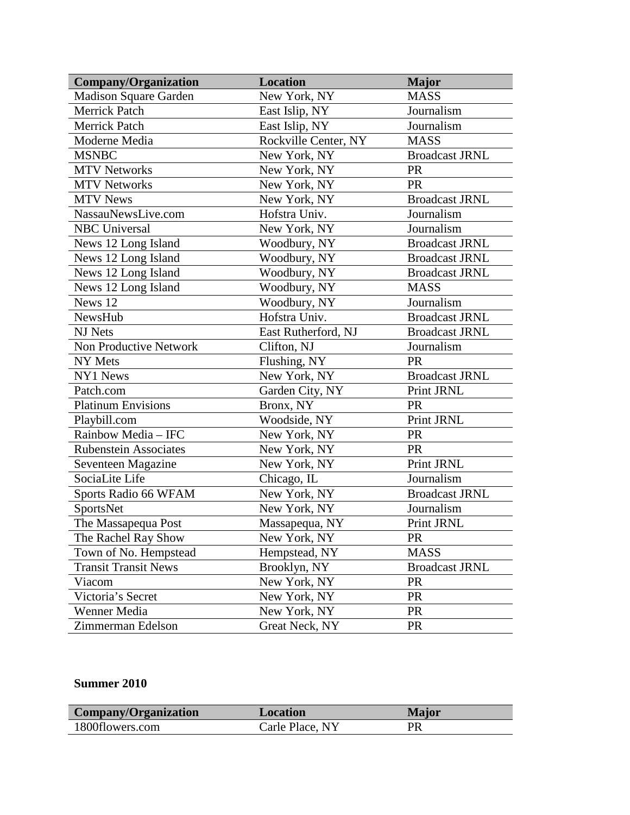| <b>Company/Organization</b>  | <b>Location</b>      | <b>Major</b>          |
|------------------------------|----------------------|-----------------------|
| <b>Madison Square Garden</b> | New York, NY         | <b>MASS</b>           |
| <b>Merrick Patch</b>         | East Islip, NY       | Journalism            |
| Merrick Patch                | East Islip, NY       | Journalism            |
| Moderne Media                | Rockville Center, NY | <b>MASS</b>           |
| <b>MSNBC</b>                 | New York, NY         | <b>Broadcast JRNL</b> |
| <b>MTV Networks</b>          | New York, NY         | PR                    |
| <b>MTV Networks</b>          | New York, NY         | PR                    |
| <b>MTV News</b>              | New York, NY         | <b>Broadcast JRNL</b> |
| NassauNewsLive.com           | Hofstra Univ.        | Journalism            |
| <b>NBC</b> Universal         | New York, NY         | Journalism            |
| News 12 Long Island          | Woodbury, NY         | <b>Broadcast JRNL</b> |
| News 12 Long Island          | Woodbury, NY         | <b>Broadcast JRNL</b> |
| News 12 Long Island          | Woodbury, NY         | <b>Broadcast JRNL</b> |
| News 12 Long Island          | Woodbury, NY         | <b>MASS</b>           |
| News 12                      | Woodbury, NY         | Journalism            |
| NewsHub                      | Hofstra Univ.        | <b>Broadcast JRNL</b> |
| NJ Nets                      | East Rutherford, NJ  | <b>Broadcast JRNL</b> |
| Non Productive Network       | Clifton, NJ          | Journalism            |
| NY Mets                      | Flushing, NY         | <b>PR</b>             |
| NY1 News                     | New York, NY         | <b>Broadcast JRNL</b> |
| Patch.com                    | Garden City, NY      | Print JRNL            |
| <b>Platinum Envisions</b>    | Bronx, NY            | <b>PR</b>             |
| Playbill.com                 | Woodside, NY         | Print JRNL            |
| Rainbow Media - IFC          | New York, NY         | <b>PR</b>             |
| <b>Rubenstein Associates</b> | New York, NY         | PR                    |
| Seventeen Magazine           | New York, NY         | Print JRNL            |
| SociaLite Life               | Chicago, IL          | Journalism            |
| Sports Radio 66 WFAM         | New York, NY         | <b>Broadcast JRNL</b> |
| SportsNet                    | New York, NY         | Journalism            |
| The Massapequa Post          | Massapequa, NY       | Print JRNL            |
| The Rachel Ray Show          | New York, NY         | <b>PR</b>             |
| Town of No. Hempstead        | Hempstead, NY        | <b>MASS</b>           |
| <b>Transit Transit News</b>  | Brooklyn, NY         | <b>Broadcast JRNL</b> |
| Viacom                       | New York, NY         | <b>PR</b>             |
| Victoria's Secret            | New York, NY         | <b>PR</b>             |
| Wenner Media                 | New York, NY         | <b>PR</b>             |
| Zimmerman Edelson            | Great Neck, NY       | <b>PR</b>             |

## **Summer 2010**

| Company/Organization | Location        | Major |
|----------------------|-----------------|-------|
| 1800flowers.com      | Carle Place, NY | PR    |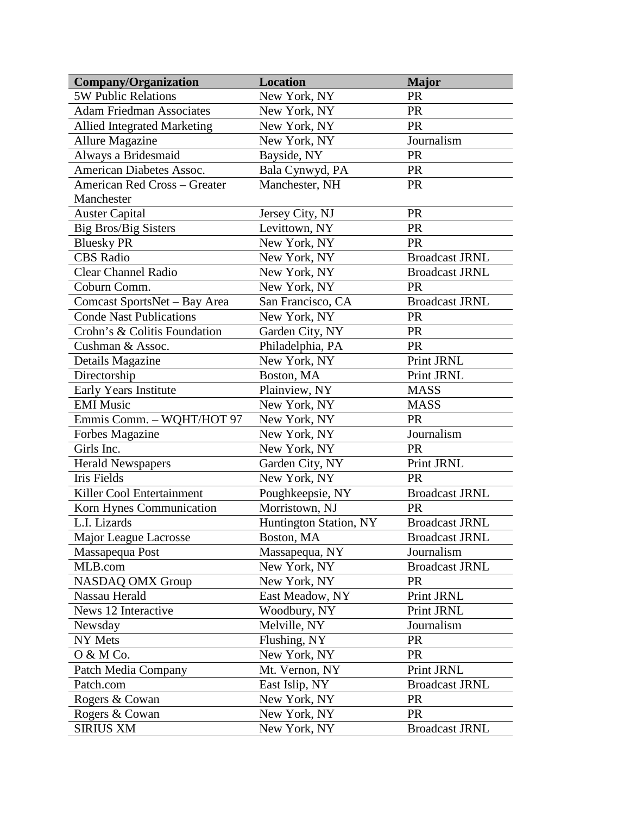| <b>Company/Organization</b>         | <b>Location</b>        | <b>Major</b>          |
|-------------------------------------|------------------------|-----------------------|
| <b>5W Public Relations</b>          | New York, NY           | <b>PR</b>             |
| <b>Adam Friedman Associates</b>     | New York, NY           | <b>PR</b>             |
| <b>Allied Integrated Marketing</b>  | New York, NY           | <b>PR</b>             |
| <b>Allure Magazine</b>              | New York, NY           | Journalism            |
| Always a Bridesmaid                 | Bayside, NY            | <b>PR</b>             |
| American Diabetes Assoc.            | Bala Cynwyd, PA        | <b>PR</b>             |
| <b>American Red Cross - Greater</b> | Manchester, NH         | <b>PR</b>             |
| Manchester                          |                        |                       |
| <b>Auster Capital</b>               | Jersey City, NJ        | <b>PR</b>             |
| <b>Big Bros/Big Sisters</b>         | Levittown, NY          | <b>PR</b>             |
| <b>Bluesky PR</b>                   | New York, NY           | <b>PR</b>             |
| <b>CBS</b> Radio                    | New York, NY           | <b>Broadcast JRNL</b> |
| <b>Clear Channel Radio</b>          | New York, NY           | <b>Broadcast JRNL</b> |
| Coburn Comm.                        | New York, NY           | <b>PR</b>             |
| Comcast SportsNet - Bay Area        | San Francisco, CA      | <b>Broadcast JRNL</b> |
| <b>Conde Nast Publications</b>      | New York, NY           | <b>PR</b>             |
| Crohn's & Colitis Foundation        | Garden City, NY        | <b>PR</b>             |
| Cushman & Assoc.                    | Philadelphia, PA       | <b>PR</b>             |
| Details Magazine                    | New York, NY           | Print JRNL            |
| Directorship                        | Boston, MA             | Print JRNL            |
| Early Years Institute               | Plainview, NY          | <b>MASS</b>           |
| <b>EMI</b> Music                    | New York, NY           | <b>MASS</b>           |
| Emmis Comm. - WQHT/HOT 97           | New York, NY           | <b>PR</b>             |
| Forbes Magazine                     | New York, NY           | Journalism            |
| Girls Inc.                          | New York, NY           | <b>PR</b>             |
| <b>Herald Newspapers</b>            | Garden City, NY        | Print JRNL            |
| <b>Iris Fields</b>                  | New York, NY           | <b>PR</b>             |
| Killer Cool Entertainment           | Poughkeepsie, NY       | <b>Broadcast JRNL</b> |
| Korn Hynes Communication            | Morristown, NJ         | <b>PR</b>             |
| L.I. Lizards                        | Huntington Station, NY | <b>Broadcast JRNL</b> |
| Major League Lacrosse               | Boston, MA             | <b>Broadcast JRNL</b> |
| Massapequa Post                     | Massapequa, NY         | Journalism            |
| MLB.com                             | New York, NY           | <b>Broadcast JRNL</b> |
| <b>NASDAQ OMX Group</b>             | New York, NY           | <b>PR</b>             |
| Nassau Herald                       | East Meadow, NY        | Print JRNL            |
| News 12 Interactive                 | Woodbury, NY           | Print JRNL            |
| Newsday                             | Melville, NY           | Journalism            |
| NY Mets                             | Flushing, NY           | <b>PR</b>             |
| O & M Co.                           | New York, NY           | PR                    |
| Patch Media Company                 | Mt. Vernon, NY         | Print JRNL            |
| Patch.com                           | East Islip, NY         | <b>Broadcast JRNL</b> |
| Rogers & Cowan                      | New York, NY           | <b>PR</b>             |
| Rogers & Cowan                      | New York, NY           | <b>PR</b>             |
| <b>SIRIUS XM</b>                    | New York, NY           | <b>Broadcast JRNL</b> |